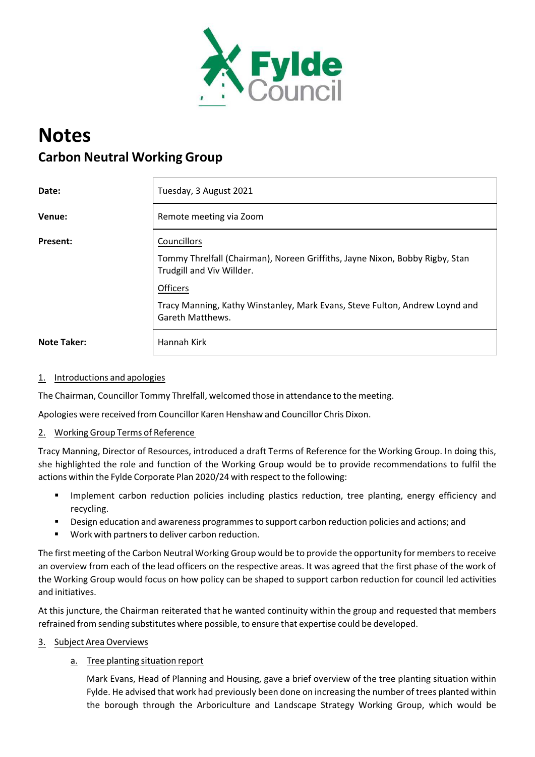

# **Notes Carbon Neutral Working Group**

| Date:              | Tuesday, 3 August 2021                                                                                    |
|--------------------|-----------------------------------------------------------------------------------------------------------|
| Venue:             | Remote meeting via Zoom                                                                                   |
| <b>Present:</b>    | Councillors                                                                                               |
|                    | Tommy Threlfall (Chairman), Noreen Griffiths, Jayne Nixon, Bobby Rigby, Stan<br>Trudgill and Viv Willder. |
|                    | <b>Officers</b>                                                                                           |
|                    | Tracy Manning, Kathy Winstanley, Mark Evans, Steve Fulton, Andrew Loynd and<br><b>Gareth Matthews.</b>    |
| <b>Note Taker:</b> | Hannah Kirk                                                                                               |

# 1. Introductions and apologies

The Chairman, Councillor Tommy Threlfall, welcomed those in attendance to the meeting.

Apologies were received from Councillor Karen Henshaw and Councillor Chris Dixon.

#### 2. Working Group Terms of Reference

Tracy Manning, Director of Resources, introduced a draft Terms of Reference for the Working Group. In doing this, she highlighted the role and function of the Working Group would be to provide recommendations to fulfil the actions within the Fylde Corporate Plan 2020/24 with respect to the following:

- Implement carbon reduction policies including plastics reduction, tree planting, energy efficiency and recycling.
- **•** Design education and awareness programmes to support carbon reduction policies and actions; and
- Work with partners to deliver carbon reduction.

The first meeting of the Carbon Neutral Working Group would be to provide the opportunity for membersto receive an overview from each of the lead officers on the respective areas. It was agreed that the first phase of the work of the Working Group would focus on how policy can be shaped to support carbon reduction for council led activities and initiatives.

At this juncture, the Chairman reiterated that he wanted continuity within the group and requested that members refrained from sending substitutes where possible, to ensure that expertise could be developed.

3. Subject Area Overviews

# a. Tree planting situation report

Mark Evans, Head of Planning and Housing, gave a brief overview of the tree planting situation within Fylde. He advised that work had previously been done on increasing the number of trees planted within the borough through the Arboriculture and Landscape Strategy Working Group, which would be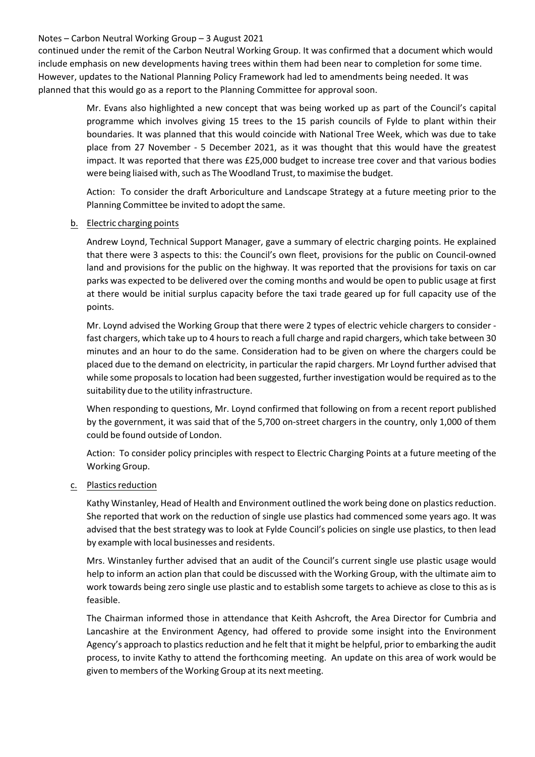#### Notes – Carbon Neutral Working Group – 3 August 2021

continued under the remit of the Carbon Neutral Working Group. It was confirmed that a document which would include emphasis on new developments having trees within them had been near to completion for some time. However, updates to the National Planning Policy Framework had led to amendments being needed. It was planned that this would go as a report to the Planning Committee for approval soon.

> Mr. Evans also highlighted a new concept that was being worked up as part of the Council's capital programme which involves giving 15 trees to the 15 parish councils of Fylde to plant within their boundaries. It was planned that this would coincide with National Tree Week, which was due to take place from 27 November ‐ 5 December 2021, as it was thought that this would have the greatest impact. It was reported that there was £25,000 budget to increase tree cover and that various bodies were being liaised with, such as The Woodland Trust, to maximise the budget.

> Action: To consider the draft Arboriculture and Landscape Strategy at a future meeting prior to the Planning Committee be invited to adopt the same.

## b. Electric charging points

Andrew Loynd, Technical Support Manager, gave a summary of electric charging points. He explained that there were 3 aspects to this: the Council's own fleet, provisions for the public on Council‐owned land and provisions for the public on the highway. It was reported that the provisions for taxis on car parks was expected to be delivered over the coming months and would be open to public usage at first at there would be initial surplus capacity before the taxi trade geared up for full capacity use of the points.

Mr. Loynd advised the Working Group that there were 2 types of electric vehicle chargers to consider ‐ fast chargers, which take up to 4 hours to reach a full charge and rapid chargers, which take between 30 minutes and an hour to do the same. Consideration had to be given on where the chargers could be placed due to the demand on electricity, in particular the rapid chargers. Mr Loynd further advised that while some proposals to location had been suggested, further investigation would be required as to the suitability due to the utility infrastructure.

When responding to questions, Mr. Loynd confirmed that following on from a recent report published by the government, it was said that of the 5,700 on-street chargers in the country, only 1,000 of them could be found outside of London.

Action: To consider policy principles with respect to Electric Charging Points at a future meeting of the Working Group.

#### c. Plastics reduction

Kathy Winstanley, Head of Health and Environment outlined the work being done on plastics reduction. She reported that work on the reduction of single use plastics had commenced some years ago. It was advised that the best strategy was to look at Fylde Council's policies on single use plastics, to then lead by example with local businesses and residents.

Mrs. Winstanley further advised that an audit of the Council's current single use plastic usage would help to inform an action plan that could be discussed with the Working Group, with the ultimate aim to work towards being zero single use plastic and to establish some targets to achieve as close to this as is feasible.

The Chairman informed those in attendance that Keith Ashcroft, the Area Director for Cumbria and Lancashire at the Environment Agency, had offered to provide some insight into the Environment Agency's approach to plastics reduction and he felt that it might be helpful, prior to embarking the audit process, to invite Kathy to attend the forthcoming meeting. An update on this area of work would be given to members of the Working Group at its next meeting.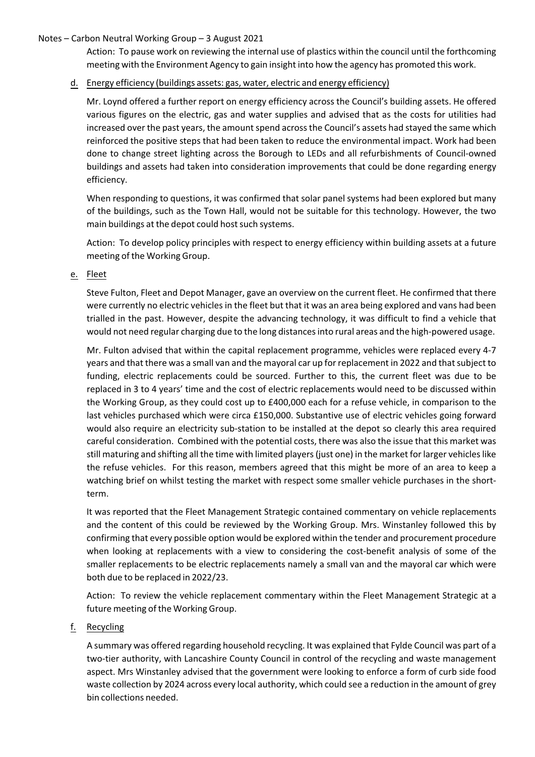## Notes – Carbon Neutral Working Group – 3 August 2021

Action: To pause work on reviewing the internal use of plastics within the council until the forthcoming meeting with the Environment Agency to gain insight into how the agency has promoted this work.

## d. Energy efficiency (buildings assets: gas, water, electric and energy efficiency)

Mr. Loynd offered a further report on energy efficiency across the Council's building assets. He offered various figures on the electric, gas and water supplies and advised that as the costs for utilities had increased over the past years, the amount spend across the Council's assets had stayed the same which reinforced the positive steps that had been taken to reduce the environmental impact. Work had been done to change street lighting across the Borough to LEDs and all refurbishments of Council‐owned buildings and assets had taken into consideration improvements that could be done regarding energy efficiency.

When responding to questions, it was confirmed that solar panel systems had been explored but many of the buildings, such as the Town Hall, would not be suitable for this technology. However, the two main buildings at the depot could host such systems.

Action: To develop policy principles with respect to energy efficiency within building assets at a future meeting of the Working Group.

## e. Fleet

Steve Fulton, Fleet and Depot Manager, gave an overview on the current fleet. He confirmed that there were currently no electric vehicles in the fleet but that it was an area being explored and vans had been trialled in the past. However, despite the advancing technology, it was difficult to find a vehicle that would not need regular charging due to the long distances into rural areas and the high-powered usage.

Mr. Fulton advised that within the capital replacement programme, vehicles were replaced every 4‐7 years and that there was a small van and the mayoral car up for replacement in 2022 and that subject to funding, electric replacements could be sourced. Further to this, the current fleet was due to be replaced in 3 to 4 years' time and the cost of electric replacements would need to be discussed within the Working Group, as they could cost up to £400,000 each for a refuse vehicle, in comparison to the last vehicles purchased which were circa £150,000. Substantive use of electric vehicles going forward would also require an electricity sub-station to be installed at the depot so clearly this area required careful consideration. Combined with the potential costs, there was also the issue that this market was still maturing and shifting all the time with limited players(just one) in the market forlarger vehicleslike the refuse vehicles. For this reason, members agreed that this might be more of an area to keep a watching brief on whilst testing the market with respect some smaller vehicle purchases in the shortterm.

It was reported that the Fleet Management Strategic contained commentary on vehicle replacements and the content of this could be reviewed by the Working Group. Mrs. Winstanley followed this by confirming that every possible option would be explored within the tender and procurement procedure when looking at replacements with a view to considering the cost-benefit analysis of some of the smaller replacements to be electric replacements namely a small van and the mayoral car which were both due to be replaced in 2022/23.

Action: To review the vehicle replacement commentary within the Fleet Management Strategic at a future meeting of the Working Group.

# f. Recycling

A summary was offered regarding household recycling. It was explained that Fylde Council was part of a two‐tier authority, with Lancashire County Council in control of the recycling and waste management aspect. Mrs Winstanley advised that the government were looking to enforce a form of curb side food waste collection by 2024 across every local authority, which could see a reduction in the amount of grey bin collections needed.